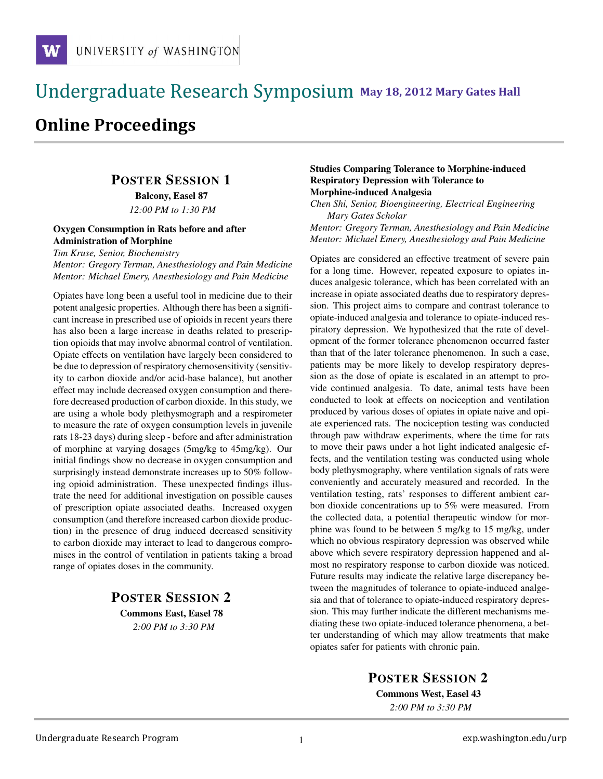### !!!!!!!!!!!!!!!!!!!!!!!!!!!!!!!!!!!!!!!!!!!!!!!!!!!!!!!!!!!!!!!!!!!!!!!!!!!!!!!!!!!!!!!!!!!!!!!!! **111 May 18, 2012 Mary Gates Hall** !!!!!!!!!!!!!!!!!!!!!!!!!!!!!!!!!!!!!!!!!!!!!!!!!!!!!!!!!!!!!!!!!!!!!!!!!!!!!!!!!!

# **Online Proceedings**

# POSTER SESSION 1

Balcony, Easel 87 *12:00 PM to 1:30 PM*

#### Oxygen Consumption in Rats before and after Administration of Morphine

*Tim Kruse, Senior, Biochemistry*

*Mentor: Gregory Terman, Anesthesiology and Pain Medicine Mentor: Michael Emery, Anesthesiology and Pain Medicine*

Opiates have long been a useful tool in medicine due to their potent analgesic properties. Although there has been a significant increase in prescribed use of opioids in recent years there has also been a large increase in deaths related to prescription opioids that may involve abnormal control of ventilation. Opiate effects on ventilation have largely been considered to be due to depression of respiratory chemosensitivity (sensitivity to carbon dioxide and/or acid-base balance), but another effect may include decreased oxygen consumption and therefore decreased production of carbon dioxide. In this study, we are using a whole body plethysmograph and a respirometer to measure the rate of oxygen consumption levels in juvenile rats 18-23 days) during sleep - before and after administration of morphine at varying dosages (5mg/kg to 45mg/kg). Our initial findings show no decrease in oxygen consumption and surprisingly instead demonstrate increases up to 50% following opioid administration. These unexpected findings illustrate the need for additional investigation on possible causes of prescription opiate associated deaths. Increased oxygen consumption (and therefore increased carbon dioxide production) in the presence of drug induced decreased sensitivity to carbon dioxide may interact to lead to dangerous compromises in the control of ventilation in patients taking a broad range of opiates doses in the community.

# POSTER SESSION 2 Commons East, Easel 78

*2:00 PM to 3:30 PM*

#### Studies Comparing Tolerance to Morphine-induced Respiratory Depression with Tolerance to Morphine-induced Analgesia

*Chen Shi, Senior, Bioengineering, Electrical Engineering Mary Gates Scholar*

*Mentor: Gregory Terman, Anesthesiology and Pain Medicine Mentor: Michael Emery, Anesthesiology and Pain Medicine*

Opiates are considered an effective treatment of severe pain for a long time. However, repeated exposure to opiates induces analgesic tolerance, which has been correlated with an increase in opiate associated deaths due to respiratory depression. This project aims to compare and contrast tolerance to opiate-induced analgesia and tolerance to opiate-induced respiratory depression. We hypothesized that the rate of development of the former tolerance phenomenon occurred faster than that of the later tolerance phenomenon. In such a case, patients may be more likely to develop respiratory depression as the dose of opiate is escalated in an attempt to provide continued analgesia. To date, animal tests have been conducted to look at effects on nociception and ventilation produced by various doses of opiates in opiate naive and opiate experienced rats. The nociception testing was conducted through paw withdraw experiments, where the time for rats to move their paws under a hot light indicated analgesic effects, and the ventilation testing was conducted using whole body plethysmography, where ventilation signals of rats were conveniently and accurately measured and recorded. In the ventilation testing, rats' responses to different ambient carbon dioxide concentrations up to 5% were measured. From the collected data, a potential therapeutic window for morphine was found to be between 5 mg/kg to 15 mg/kg, under which no obvious respiratory depression was observed while above which severe respiratory depression happened and almost no respiratory response to carbon dioxide was noticed. Future results may indicate the relative large discrepancy between the magnitudes of tolerance to opiate-induced analgesia and that of tolerance to opiate-induced respiratory depression. This may further indicate the different mechanisms mediating these two opiate-induced tolerance phenomena, a better understanding of which may allow treatments that make opiates safer for patients with chronic pain.

POSTER SESSION 2

Commons West, Easel 43 *2:00 PM to 3:30 PM*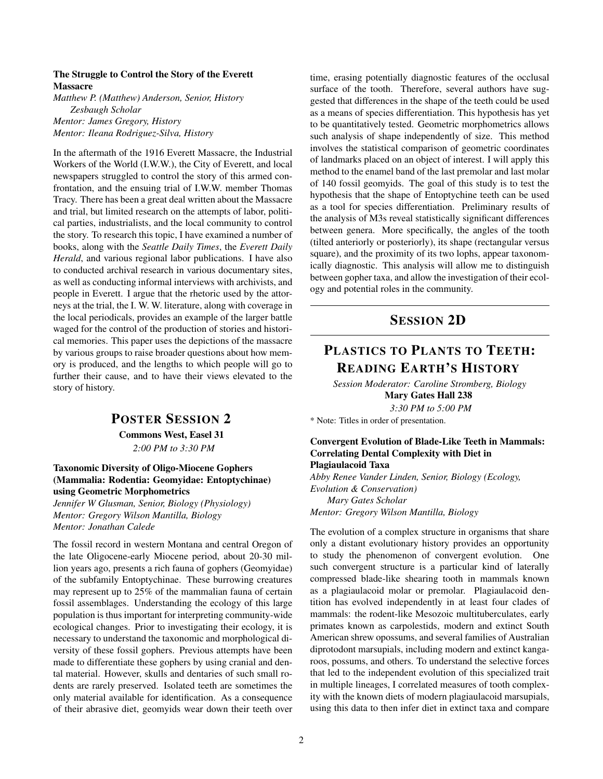#### The Struggle to Control the Story of the Everett Massacre

*Matthew P. (Matthew) Anderson, Senior, History Zesbaugh Scholar Mentor: James Gregory, History Mentor: Ileana Rodriguez-Silva, History*

In the aftermath of the 1916 Everett Massacre, the Industrial Workers of the World (I.W.W.), the City of Everett, and local newspapers struggled to control the story of this armed confrontation, and the ensuing trial of I.W.W. member Thomas Tracy. There has been a great deal written about the Massacre and trial, but limited research on the attempts of labor, political parties, industrialists, and the local community to control the story. To research this topic, I have examined a number of books, along with the *Seattle Daily Times*, the *Everett Daily Herald*, and various regional labor publications. I have also to conducted archival research in various documentary sites, as well as conducting informal interviews with archivists, and people in Everett. I argue that the rhetoric used by the attorneys at the trial, the I. W. W. literature, along with coverage in the local periodicals, provides an example of the larger battle waged for the control of the production of stories and historical memories. This paper uses the depictions of the massacre by various groups to raise broader questions about how memory is produced, and the lengths to which people will go to further their cause, and to have their views elevated to the story of history.

#### POSTER SESSION 2

Commons West, Easel 31 *2:00 PM to 3:30 PM*

#### Taxonomic Diversity of Oligo-Miocene Gophers (Mammalia: Rodentia: Geomyidae: Entoptychinae) using Geometric Morphometrics

*Jennifer W Glusman, Senior, Biology (Physiology) Mentor: Gregory Wilson Mantilla, Biology Mentor: Jonathan Calede*

The fossil record in western Montana and central Oregon of the late Oligocene-early Miocene period, about 20-30 million years ago, presents a rich fauna of gophers (Geomyidae) of the subfamily Entoptychinae. These burrowing creatures may represent up to 25% of the mammalian fauna of certain fossil assemblages. Understanding the ecology of this large population is thus important for interpreting community-wide ecological changes. Prior to investigating their ecology, it is necessary to understand the taxonomic and morphological diversity of these fossil gophers. Previous attempts have been made to differentiate these gophers by using cranial and dental material. However, skulls and dentaries of such small rodents are rarely preserved. Isolated teeth are sometimes the only material available for identification. As a consequence of their abrasive diet, geomyids wear down their teeth over time, erasing potentially diagnostic features of the occlusal surface of the tooth. Therefore, several authors have suggested that differences in the shape of the teeth could be used as a means of species differentiation. This hypothesis has yet to be quantitatively tested. Geometric morphometrics allows such analysis of shape independently of size. This method involves the statistical comparison of geometric coordinates of landmarks placed on an object of interest. I will apply this method to the enamel band of the last premolar and last molar of 140 fossil geomyids. The goal of this study is to test the hypothesis that the shape of Entoptychine teeth can be used as a tool for species differentiation. Preliminary results of the analysis of M3s reveal statistically significant differences between genera. More specifically, the angles of the tooth (tilted anteriorly or posteriorly), its shape (rectangular versus square), and the proximity of its two lophs, appear taxonomically diagnostic. This analysis will allow me to distinguish between gopher taxa, and allow the investigation of their ecology and potential roles in the community.

## SESSION 2D

# PLASTICS TO PLANTS TO TEETH: READING EARTH'S HISTORY

*Session Moderator: Caroline Stromberg, Biology* Mary Gates Hall 238 *3:30 PM to 5:00 PM*

\* Note: Titles in order of presentation.

#### Convergent Evolution of Blade-Like Teeth in Mammals: Correlating Dental Complexity with Diet in Plagiaulacoid Taxa

*Abby Renee Vander Linden, Senior, Biology (Ecology, Evolution & Conservation) Mary Gates Scholar Mentor: Gregory Wilson Mantilla, Biology*

The evolution of a complex structure in organisms that share only a distant evolutionary history provides an opportunity to study the phenomenon of convergent evolution. One such convergent structure is a particular kind of laterally compressed blade-like shearing tooth in mammals known as a plagiaulacoid molar or premolar. Plagiaulacoid dentition has evolved independently in at least four clades of mammals: the rodent-like Mesozoic multituberculates, early primates known as carpolestids, modern and extinct South American shrew opossums, and several families of Australian diprotodont marsupials, including modern and extinct kangaroos, possums, and others. To understand the selective forces that led to the independent evolution of this specialized trait in multiple lineages, I correlated measures of tooth complexity with the known diets of modern plagiaulacoid marsupials, using this data to then infer diet in extinct taxa and compare